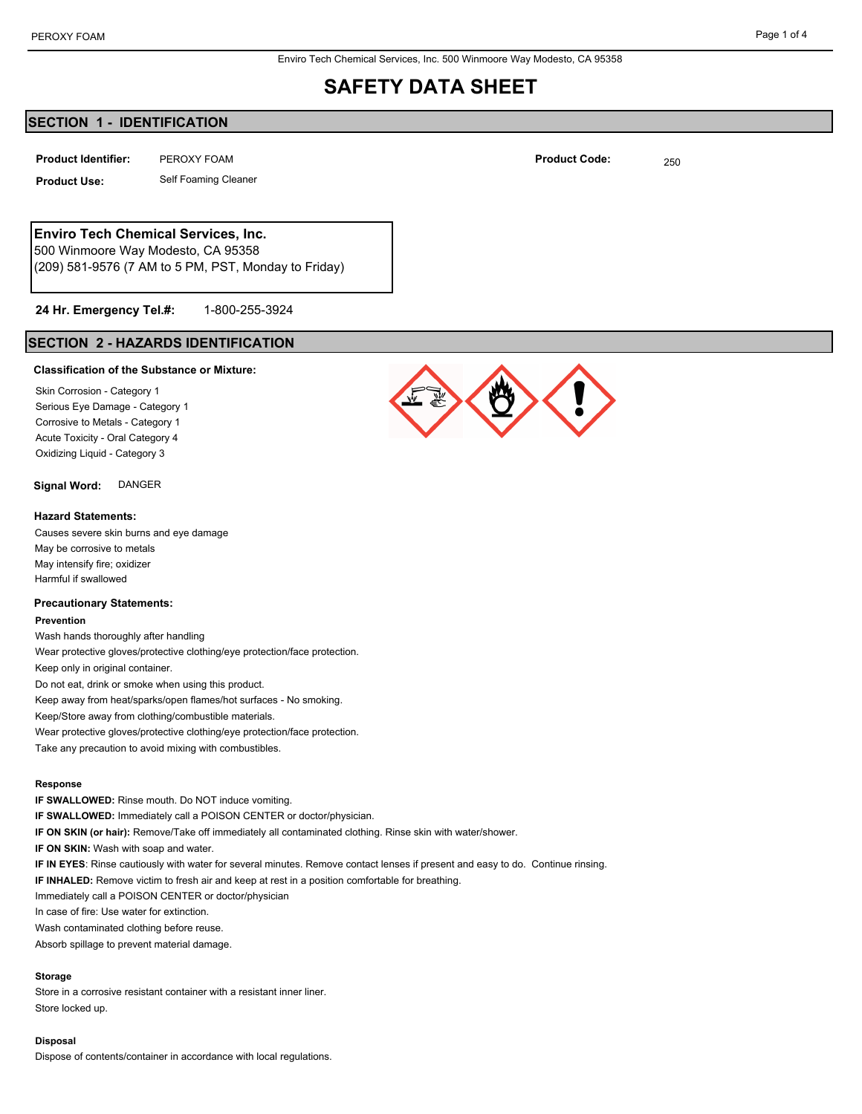Enviro Tech Chemical Services, Inc. 500 Winmoore Way Modesto, CA 95358

## **SAFETY DATA SHEET**

## **SECTION 1 - IDENTIFICATION**

PEROXY FOAM **Product Identifier: Product Code:** 250

**Product Use:** Self Foaming Cleaner

## **Enviro Tech Chemical Services, Inc.**

500 Winmoore Way Modesto, CA 95358 (209) 581-9576 (7 AM to 5 PM, PST, Monday to Friday)

#### 1-800-255-3924 **24 Hr. Emergency Tel.#:**

## **SECTION 2 - HAZARDS IDENTIFICATION**

#### **Classification of the Substance or Mixture:**

Skin Corrosion - Category 1 Serious Eye Damage - Category 1 Corrosive to Metals - Category 1 Acute Toxicity - Oral Category 4 Oxidizing Liquid - Category 3

**Signal Word:** DANGER

#### **Hazard Statements:**

Causes severe skin burns and eye damage May be corrosive to metals May intensify fire; oxidizer Harmful if swallowed

#### **Precautionary Statements:**

#### **Prevention**

Wash hands thoroughly after handling Wear protective gloves/protective clothing/eye protection/face protection. Keep only in original container.

Do not eat, drink or smoke when using this product.

Keep away from heat/sparks/open flames/hot surfaces - No smoking.

Keep/Store away from clothing/combustible materials.

Wear protective gloves/protective clothing/eye protection/face protection.

Take any precaution to avoid mixing with combustibles.

#### **Response**

**IF SWALLOWED:** Rinse mouth. Do NOT induce vomiting.

**IF SWALLOWED:** Immediately call a POISON CENTER or doctor/physician.

**IF ON SKIN (or hair):** Remove/Take off immediately all contaminated clothing. Rinse skin with water/shower.

**IF ON SKIN:** Wash with soap and water.

**IF IN EYES**: Rinse cautiously with water for several minutes. Remove contact lenses if present and easy to do. Continue rinsing.

**IF INHALED:** Remove victim to fresh air and keep at rest in a position comfortable for breathing.

Immediately call a POISON CENTER or doctor/physician

In case of fire: Use water for extinction.

Wash contaminated clothing before reuse.

Absorb spillage to prevent material damage.

#### **Storage**

Store in a corrosive resistant container with a resistant inner liner. Store locked up.

#### **Disposal**

Dispose of contents/container in accordance with local regulations.

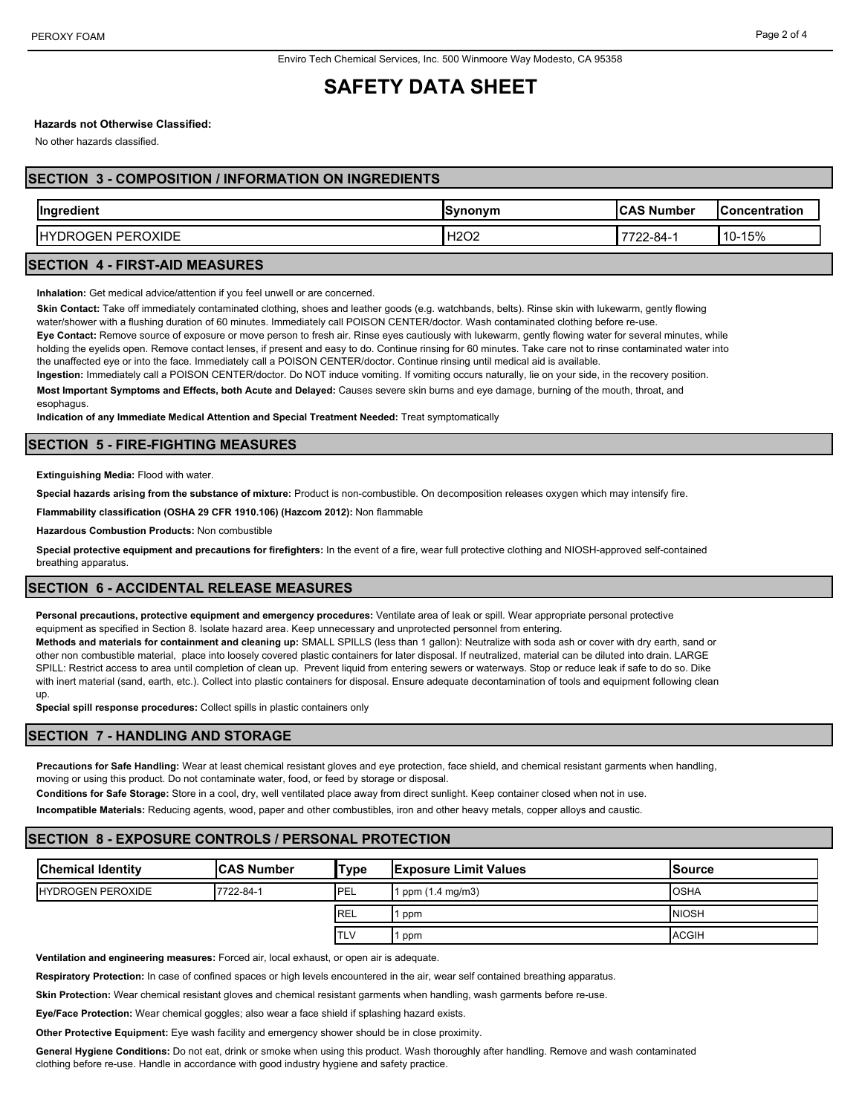## **SAFETY DATA SHEET**

## **Hazards not Otherwise Classified:**

No other hazards classified.

## **SECTION 3 - COMPOSITION / INFORMATION ON INGREDIENTS**

| $\sim$<br>llnaredient               | <b>Synonym</b> | <b>ICAS Number</b> | .Concentration           |
|-------------------------------------|----------------|--------------------|--------------------------|
| ١H<br>)XIDE<br>-pcpr<br>، ہر<br>GEN | ഥറെല<br>nzuz   | -484-2∠            | $-15%$<br>$\sim$<br>. U- |

#### **SECTION 4 - FIRST-AID MEASURES**

**Inhalation:** Get medical advice/attention if you feel unwell or are concerned.

**Skin Contact:** Take off immediately contaminated clothing, shoes and leather goods (e.g. watchbands, belts). Rinse skin with lukewarm, gently flowing water/shower with a flushing duration of 60 minutes. Immediately call POISON CENTER/doctor. Wash contaminated clothing before re-use.

**Eye Contact:** Remove source of exposure or move person to fresh air. Rinse eyes cautiously with lukewarm, gently flowing water for several minutes, while holding the eyelids open. Remove contact lenses, if present and easy to do. Continue rinsing for 60 minutes. Take care not to rinse contaminated water into the unaffected eye or into the face. Immediately call a POISON CENTER/doctor. Continue rinsing until medical aid is available.

**Ingestion:** Immediately call a POISON CENTER/doctor. Do NOT induce vomiting. If vomiting occurs naturally, lie on your side, in the recovery position. **Most Important Symptoms and Effects, both Acute and Delayed:** Causes severe skin burns and eye damage, burning of the mouth, throat, and

**Indication of any Immediate Medical Attention and Special Treatment Needed:** Treat symptomatically

## **SECTION 5 - FIRE-FIGHTING MEASURES**

**Extinguishing Media:** Flood with water.

esophagus.

**Special hazards arising from the substance of mixture:** Product is non-combustible. On decomposition releases oxygen which may intensify fire.

**Flammability classification (OSHA 29 CFR 1910.106) (Hazcom 2012):** Non flammable

**Hazardous Combustion Products:** Non combustible

**Special protective equipment and precautions for firefighters:** In the event of a fire, wear full protective clothing and NIOSH-approved self-contained breathing apparatus.

## **SECTION 6 - ACCIDENTAL RELEASE MEASURES**

**Personal precautions, protective equipment and emergency procedures:** Ventilate area of leak or spill. Wear appropriate personal protective equipment as specified in Section 8. Isolate hazard area. Keep unnecessary and unprotected personnel from entering.

**Methods and materials for containment and cleaning up:** SMALL SPILLS (less than 1 gallon): Neutralize with soda ash or cover with dry earth, sand or other non combustible material, place into loosely covered plastic containers for later disposal. If neutralized, material can be diluted into drain. LARGE SPILL: Restrict access to area until completion of clean up. Prevent liquid from entering sewers or waterways. Stop or reduce leak if safe to do so. Dike with inert material (sand, earth, etc.). Collect into plastic containers for disposal. Ensure adequate decontamination of tools and equipment following clean up.

**Special spill response procedures:** Collect spills in plastic containers only

#### **SECTION 7 - HANDLING AND STORAGE**

**Precautions for Safe Handling:** Wear at least chemical resistant gloves and eye protection, face shield, and chemical resistant garments when handling, moving or using this product. Do not contaminate water, food, or feed by storage or disposal.

**Conditions for Safe Storage:** Store in a cool, dry, well ventilated place away from direct sunlight. Keep container closed when not in use.

**Incompatible Materials:** Reducing agents, wood, paper and other combustibles, iron and other heavy metals, copper alloys and caustic.

## **SECTION 8 - EXPOSURE CONTROLS / PERSONAL PROTECTION**

| <b>Chemical Identity</b>  | <b>CAS Number</b> | 'Type       | <b>IExposure Limit Values</b> | lSource       |
|---------------------------|-------------------|-------------|-------------------------------|---------------|
| <b>IHYDROGEN PEROXIDE</b> | 7722-84-1         | <b>IPEL</b> | 1 ppm (1.4 mg/m3)             | <b>I</b> OSHA |
|                           |                   | <b>REL</b>  | ppm                           | <b>NIOSH</b>  |
|                           |                   | <b>TLV</b>  | ppm                           | <b>ACGIH</b>  |

**Ventilation and engineering measures:** Forced air, local exhaust, or open air is adequate.

**Respiratory Protection:** In case of confined spaces or high levels encountered in the air, wear self contained breathing apparatus.

**Skin Protection:** Wear chemical resistant gloves and chemical resistant garments when handling, wash garments before re-use.

**Eye/Face Protection:** Wear chemical goggles; also wear a face shield if splashing hazard exists.

**Other Protective Equipment:** Eye wash facility and emergency shower should be in close proximity.

**General Hygiene Conditions:** Do not eat, drink or smoke when using this product. Wash thoroughly after handling. Remove and wash contaminated clothing before re-use. Handle in accordance with good industry hygiene and safety practice.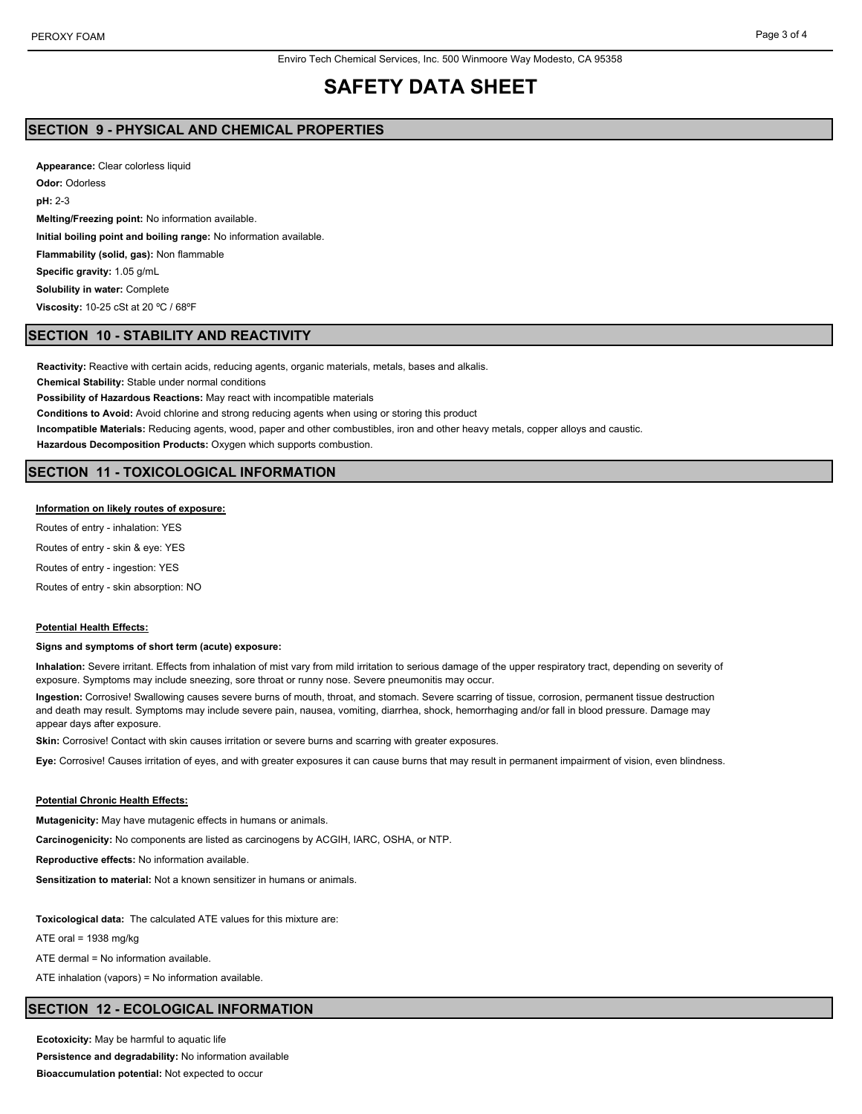# **SAFETY DATA SHEET**

## **SECTION 9 - PHYSICAL AND CHEMICAL PROPERTIES**

**Appearance:** Clear colorless liquid **Odor:** Odorless **pH:** 2-3 **Melting/Freezing point:** No information available. **Initial boiling point and boiling range:** No information available. **Flammability (solid, gas):** Non flammable **Specific gravity:** 1.05 g/mL **Solubility in water:** Complete **Viscosity:** 10-25 cSt at 20 ºC / 68ºF

#### **SECTION 10 - STABILITY AND REACTIVITY**

**Reactivity:** Reactive with certain acids, reducing agents, organic materials, metals, bases and alkalis.

**Chemical Stability:** Stable under normal conditions

**Possibility of Hazardous Reactions:** May react with incompatible materials

**Conditions to Avoid:** Avoid chlorine and strong reducing agents when using or storing this product

**Incompatible Materials:** Reducing agents, wood, paper and other combustibles, iron and other heavy metals, copper alloys and caustic.

**Hazardous Decomposition Products:** Oxygen which supports combustion.

## **SECTION 11 - TOXICOLOGICAL INFORMATION**

#### **Information on likely routes of exposure:**

Routes of entry - inhalation: YES Routes of entry - skin & eye: YES

Routes of entry - ingestion: YES

Routes of entry - skin absorption: NO

#### **Potential Health Effects:**

#### **Signs and symptoms of short term (acute) exposure:**

**Inhalation:** Severe irritant. Effects from inhalation of mist vary from mild irritation to serious damage of the upper respiratory tract, depending on severity of exposure. Symptoms may include sneezing, sore throat or runny nose. Severe pneumonitis may occur.

**Ingestion:** Corrosive! Swallowing causes severe burns of mouth, throat, and stomach. Severe scarring of tissue, corrosion, permanent tissue destruction and death may result. Symptoms may include severe pain, nausea, vomiting, diarrhea, shock, hemorrhaging and/or fall in blood pressure. Damage may appear days after exposure.

**Skin:** Corrosive! Contact with skin causes irritation or severe burns and scarring with greater exposures.

**Eye:** Corrosive! Causes irritation of eyes, and with greater exposures it can cause burns that may result in permanent impairment of vision, even blindness.

#### **Potential Chronic Health Effects:**

**Mutagenicity:** May have mutagenic effects in humans or animals.

**Carcinogenicity:** No components are listed as carcinogens by ACGIH, IARC, OSHA, or NTP.

**Reproductive effects:** No information available.

**Sensitization to material:** Not a known sensitizer in humans or animals.

**Toxicological data:** The calculated ATE values for this mixture are:

ATE oral =  $1938$  mg/kg

ATE dermal = No information available.

ATE inhalation (vapors) = No information available.

#### **SECTION 12 - ECOLOGICAL INFORMATION**

**Ecotoxicity:** May be harmful to aquatic life **Persistence and degradability:** No information available **Bioaccumulation potential:** Not expected to occur